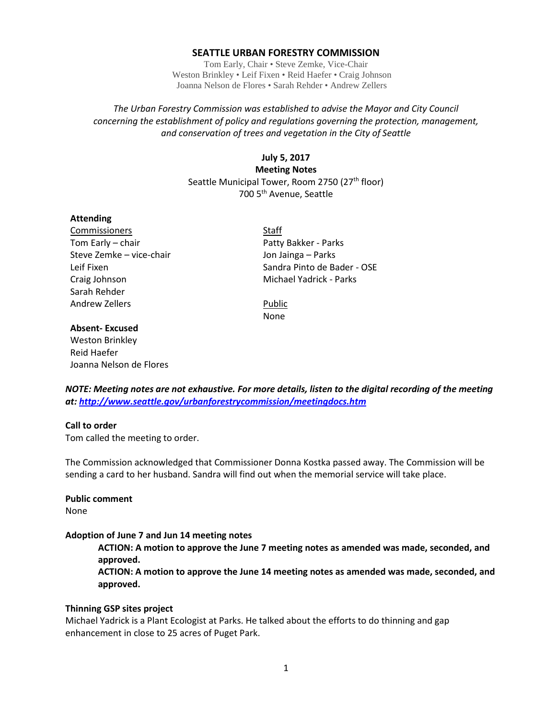### **SEATTLE URBAN FORESTRY COMMISSION**

Tom Early, Chair • Steve Zemke, Vice-Chair Weston Brinkley • Leif Fixen • Reid Haefer • Craig Johnson Joanna Nelson de Flores • Sarah Rehder • Andrew Zellers

# *The Urban Forestry Commission was established to advise the Mayor and City Council concerning the establishment of policy and regulations governing the protection, management, and conservation of trees and vegetation in the City of Seattle*

**July 5, 2017 Meeting Notes** Seattle Municipal Tower, Room 2750 (27<sup>th</sup> floor) 700 5th Avenue, Seattle

#### **Attending**

Commissioners Staff Tom Early – chair **Patty Bakker - Parks** Patty Bakker - Parks Steve Zemke – vice-chair and Jon Jainga – Parks Craig Johnson **Michael Yadrick - Parks** Sarah Rehder Andrew Zellers **Public** 

Leif Fixen Sandra Pinto de Bader - OSE

None

# **Absent- Excused**

Weston Brinkley Reid Haefer Joanna Nelson de Flores

*NOTE: Meeting notes are not exhaustive. For more details, listen to the digital recording of the meeting at:<http://www.seattle.gov/urbanforestrycommission/meetingdocs.htm>*

### **Call to order**

Tom called the meeting to order.

The Commission acknowledged that Commissioner Donna Kostka passed away. The Commission will be sending a card to her husband. Sandra will find out when the memorial service will take place.

## **Public comment**

None

#### **Adoption of June 7 and Jun 14 meeting notes**

**ACTION: A motion to approve the June 7 meeting notes as amended was made, seconded, and approved.**

**ACTION: A motion to approve the June 14 meeting notes as amended was made, seconded, and approved.**

### **Thinning GSP sites project**

Michael Yadrick is a Plant Ecologist at Parks. He talked about the efforts to do thinning and gap enhancement in close to 25 acres of Puget Park.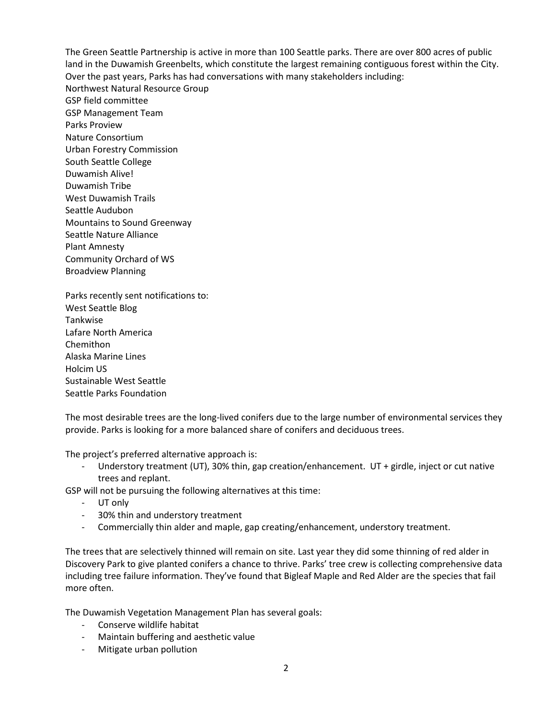The Green Seattle Partnership is active in more than 100 Seattle parks. There are over 800 acres of public land in the Duwamish Greenbelts, which constitute the largest remaining contiguous forest within the City. Over the past years, Parks has had conversations with many stakeholders including: Northwest Natural Resource Group GSP field committee GSP Management Team Parks Proview Nature Consortium Urban Forestry Commission South Seattle College Duwamish Alive! Duwamish Tribe West Duwamish Trails Seattle Audubon Mountains to Sound Greenway Seattle Nature Alliance Plant Amnesty Community Orchard of WS Broadview Planning

Parks recently sent notifications to: West Seattle Blog Tankwise Lafare North America Chemithon Alaska Marine Lines Holcim US Sustainable West Seattle Seattle Parks Foundation

The most desirable trees are the long-lived conifers due to the large number of environmental services they provide. Parks is looking for a more balanced share of conifers and deciduous trees.

The project's preferred alternative approach is:

Understory treatment (UT), 30% thin, gap creation/enhancement. UT + girdle, inject or cut native trees and replant.

GSP will not be pursuing the following alternatives at this time:

- UT only
- 30% thin and understory treatment
- Commercially thin alder and maple, gap creating/enhancement, understory treatment.

The trees that are selectively thinned will remain on site. Last year they did some thinning of red alder in Discovery Park to give planted conifers a chance to thrive. Parks' tree crew is collecting comprehensive data including tree failure information. They've found that Bigleaf Maple and Red Alder are the species that fail more often.

The Duwamish Vegetation Management Plan has several goals:

- Conserve wildlife habitat
- Maintain buffering and aesthetic value
- Mitigate urban pollution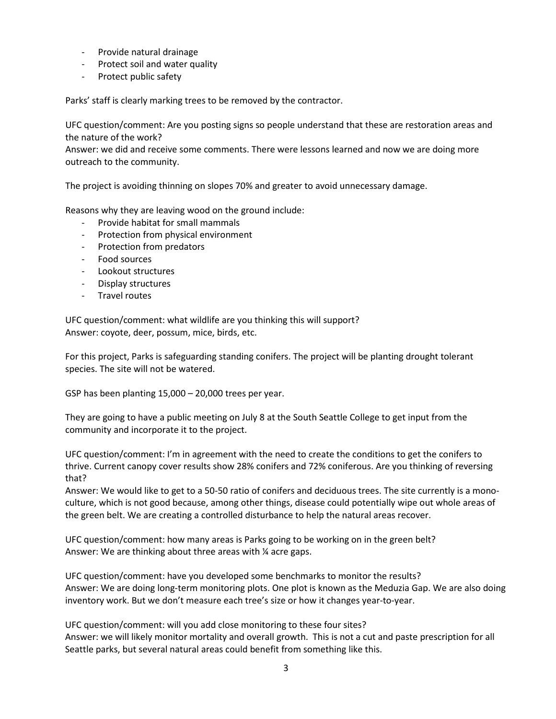- Provide natural drainage
- Protect soil and water quality
- Protect public safety

Parks' staff is clearly marking trees to be removed by the contractor.

UFC question/comment: Are you posting signs so people understand that these are restoration areas and the nature of the work?

Answer: we did and receive some comments. There were lessons learned and now we are doing more outreach to the community.

The project is avoiding thinning on slopes 70% and greater to avoid unnecessary damage.

Reasons why they are leaving wood on the ground include:

- Provide habitat for small mammals
- Protection from physical environment
- Protection from predators
- Food sources
- Lookout structures
- Display structures
- Travel routes

UFC question/comment: what wildlife are you thinking this will support? Answer: coyote, deer, possum, mice, birds, etc.

For this project, Parks is safeguarding standing conifers. The project will be planting drought tolerant species. The site will not be watered.

GSP has been planting 15,000 – 20,000 trees per year.

They are going to have a public meeting on July 8 at the South Seattle College to get input from the community and incorporate it to the project.

UFC question/comment: I'm in agreement with the need to create the conditions to get the conifers to thrive. Current canopy cover results show 28% conifers and 72% coniferous. Are you thinking of reversing that?

Answer: We would like to get to a 50-50 ratio of conifers and deciduous trees. The site currently is a monoculture, which is not good because, among other things, disease could potentially wipe out whole areas of the green belt. We are creating a controlled disturbance to help the natural areas recover.

UFC question/comment: how many areas is Parks going to be working on in the green belt? Answer: We are thinking about three areas with % acre gaps.

UFC question/comment: have you developed some benchmarks to monitor the results? Answer: We are doing long-term monitoring plots. One plot is known as the Meduzia Gap. We are also doing inventory work. But we don't measure each tree's size or how it changes year-to-year.

UFC question/comment: will you add close monitoring to these four sites? Answer: we will likely monitor mortality and overall growth. This is not a cut and paste prescription for all Seattle parks, but several natural areas could benefit from something like this.